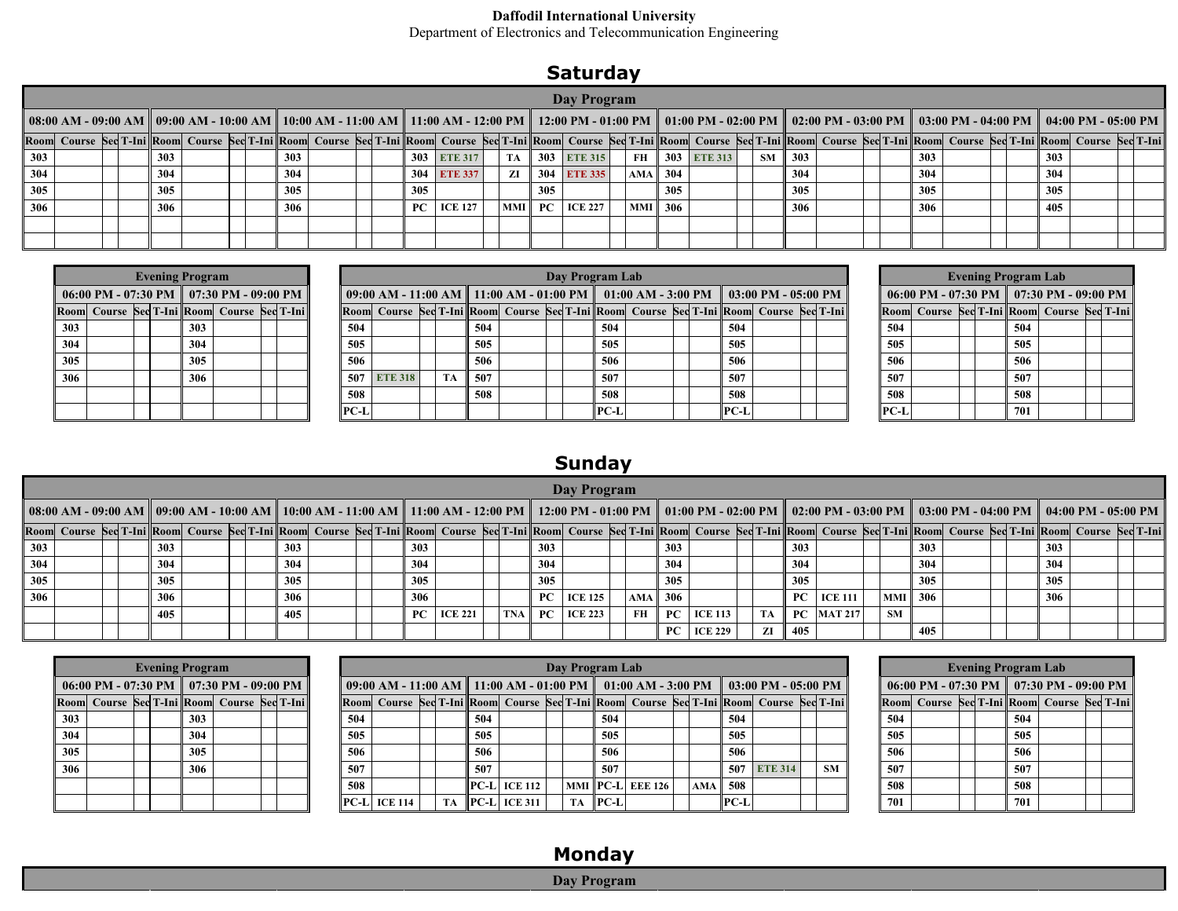#### **Daffodil International University**

Department of Electronics and Telecommunication Engineering

### **Saturday**

|                                                                                                                                                                                                                                                                                                                                                                                                                                               |  |  |  |     |  |  |  |     |  |  |     |                |           |     | Day Program         |                     |     |                |    |                 |  |     |  |     |  |  |
|-----------------------------------------------------------------------------------------------------------------------------------------------------------------------------------------------------------------------------------------------------------------------------------------------------------------------------------------------------------------------------------------------------------------------------------------------|--|--|--|-----|--|--|--|-----|--|--|-----|----------------|-----------|-----|---------------------|---------------------|-----|----------------|----|-----------------|--|-----|--|-----|--|--|
| 08:00 AM - 09:00 AM    09:00 AM - 10:00 AM    10:00 AM - 11:00 AM    11:00 AM - 12:00 PM    12:00 PM - 01:00 PM    01:00 PM - 02:00 PM    02:00 PM - 03:00 PM    03:00 PM - 04:00 PM    04:00 PM - 05:00 PM<br>Room Course Sed T-Ini Room Course Sed T-Ini Room Course Sed T-Ini Room Course Sed T-Ini Room Course Sed T-Ini Room Course Sed T-Ini Room Course Sed T-Ini Room Course Sed T-Ini Room Course Sed T-Ini Room Course Sed T-Ini Ro |  |  |  |     |  |  |  |     |  |  |     |                |           |     |                     |                     |     |                |    |                 |  |     |  |     |  |  |
|                                                                                                                                                                                                                                                                                                                                                                                                                                               |  |  |  |     |  |  |  |     |  |  |     |                |           |     |                     |                     |     |                |    |                 |  |     |  |     |  |  |
| 303                                                                                                                                                                                                                                                                                                                                                                                                                                           |  |  |  | 303 |  |  |  | 303 |  |  |     | 303 ETE 317    | TA        |     | 303 ETE 315         |                     |     | FH 303 ETE 313 | SM | $\parallel$ 303 |  | 303 |  | 303 |  |  |
| 304                                                                                                                                                                                                                                                                                                                                                                                                                                           |  |  |  | 304 |  |  |  | 304 |  |  |     | 304 ETE 337    | ZI        |     | 304 ETE 335         | $AMA \parallel 304$ |     |                |    | 304             |  | 304 |  | 304 |  |  |
| 305                                                                                                                                                                                                                                                                                                                                                                                                                                           |  |  |  | 305 |  |  |  | 305 |  |  | 305 |                |           | 305 |                     |                     | 305 |                |    | 305             |  | 305 |  | 305 |  |  |
| 306                                                                                                                                                                                                                                                                                                                                                                                                                                           |  |  |  | 306 |  |  |  | 306 |  |  |     | $PC$   ICE 127 | $\bf MMI$ |     | <b>PC</b>   ICE 227 | MMI    306          |     |                |    | 306             |  | 306 |  | 405 |  |  |
|                                                                                                                                                                                                                                                                                                                                                                                                                                               |  |  |  |     |  |  |  |     |  |  |     |                |           |     |                     |                     |     |                |    |                 |  |     |  |     |  |  |
|                                                                                                                                                                                                                                                                                                                                                                                                                                               |  |  |  |     |  |  |  |     |  |  |     |                |           |     |                     |                     |     |                |    |                 |  |     |  |     |  |  |

|     |  | <b>Evening Program</b> |                                                     |  |
|-----|--|------------------------|-----------------------------------------------------|--|
|     |  |                        | 06:00 PM - 07:30 PM $\parallel$ 07:30 PM - 09:00 PM |  |
|     |  |                        | Room Course Sec T-Ini Room Course Sec T-Ini         |  |
| 303 |  | 303                    |                                                     |  |
| 304 |  | 304                    |                                                     |  |
| 305 |  | 305                    |                                                     |  |
| 306 |  | 306                    |                                                     |  |
|     |  |                        |                                                     |  |
|     |  |                        |                                                     |  |

|     |  | <b>Evening Program</b> |                                                      |  |        |                |           |     |  | Day Program Lab |  |                  |                                                                                         |  |           |  | <b>Evening Program Lab</b> |                                                     |  |
|-----|--|------------------------|------------------------------------------------------|--|--------|----------------|-----------|-----|--|-----------------|--|------------------|-----------------------------------------------------------------------------------------|--|-----------|--|----------------------------|-----------------------------------------------------|--|
|     |  |                        | 06:00 PM - 07:30 PM $\parallel$ 07:30 PM - 09:00 PM  |  |        |                |           |     |  |                 |  |                  | 09:00 AM - 11:00 AM    11:00 AM - 01:00 PM    01:00 AM - 3:00 PM    03:00 PM - 05:00 PM |  |           |  |                            | 06:00 PM - 07:30 PM $\parallel$ 07:30 PM - 09:00 PM |  |
|     |  |                        | Room  Course   Sed T-Ini    Room  Course   Sed T-Ini |  |        |                |           |     |  |                 |  |                  | Room Course Sed T-Ini Room Course Sed T-Ini Room Course Sed T-Ini Room Course Sed T-Ini |  |           |  |                            | Room Course Sec T-Ini Room Course Sec T-Ini         |  |
| 303 |  | 303                    |                                                      |  | 504    |                |           | 504 |  | 504             |  | 504              |                                                                                         |  | 504       |  | 504                        |                                                     |  |
| 304 |  | 304                    |                                                      |  | 505    |                |           | 505 |  | 505             |  | 505              |                                                                                         |  | 505       |  | 505                        |                                                     |  |
| 305 |  | 305                    |                                                      |  | 506    |                |           | 506 |  | 506             |  | 506              |                                                                                         |  | 506       |  | 506                        |                                                     |  |
| 306 |  | 306                    |                                                      |  | 507    | <b>ETE 318</b> | <b>TA</b> | 507 |  | 507             |  | 507              |                                                                                         |  | 507       |  | 507                        |                                                     |  |
|     |  |                        |                                                      |  | 508    |                |           | 508 |  | 508             |  | 508              |                                                                                         |  | 508       |  | 508                        |                                                     |  |
|     |  |                        |                                                      |  | $PC-L$ |                |           |     |  | $\ $ PC-L       |  | $\parallel$ PC-L |                                                                                         |  | $\ $ PC-L |  | 701                        |                                                     |  |

|      |                                                     |  | <b>Evening Program Lab</b> |  |  |
|------|-----------------------------------------------------|--|----------------------------|--|--|
|      | 06:00 PM - 07:30 PM $\parallel$ 07:30 PM - 09:00 PM |  |                            |  |  |
|      | Room Course Sec T-Ini Room Course Sec T-Ini         |  |                            |  |  |
| 504  |                                                     |  | 504                        |  |  |
| 505  |                                                     |  | 505                        |  |  |
| 506  |                                                     |  | 506                        |  |  |
| 507  |                                                     |  | 507                        |  |  |
| 508  |                                                     |  | 508                        |  |  |
| PC-L |                                                     |  | 701                        |  |  |

### **Sunday**

|     |  |     |  |  |     |  |     |                |     |     | Day Program    |            |           |                |    |             |               |           |                                                                                                                                                                                                                               |  |     |                                                                                                                                                                                                                                |  |
|-----|--|-----|--|--|-----|--|-----|----------------|-----|-----|----------------|------------|-----------|----------------|----|-------------|---------------|-----------|-------------------------------------------------------------------------------------------------------------------------------------------------------------------------------------------------------------------------------|--|-----|--------------------------------------------------------------------------------------------------------------------------------------------------------------------------------------------------------------------------------|--|
|     |  |     |  |  |     |  |     |                |     |     |                |            |           |                |    |             |               |           | 08:00 AM − 09:00 AM    09:00 AM − 10:00 AM    10:00 AM − 11:00 AM − 11:00 AM − 12:00 PM    12:00 PM − 01:00 PM    01:00 PM − 02:00 PM    02:00 PM − 03:00 PM    03:00 PM − 04:00 PM    04:00 PM − 05:00 PM − 05:00 PM − 05:00 |  |     |                                                                                                                                                                                                                                |  |
|     |  |     |  |  |     |  |     |                |     |     |                |            |           |                |    |             |               |           |                                                                                                                                                                                                                               |  |     | Room Course Sed T-Ini Room Course Sed T-Ini Room Course Sed T-Ini Room Course Sed T-Ini Room Course Sed T-Ini Room Course Sed T-Ini Room Course Sed T-Ini Room Course Sed T-Ini Room Course Sed T-Ini Room Course Sed T-Ini Ro |  |
| 303 |  | 303 |  |  | 303 |  | 303 |                |     | 303 |                |            | 303       |                |    | 303         |               |           | 303                                                                                                                                                                                                                           |  | 303 |                                                                                                                                                                                                                                |  |
| 304 |  | 304 |  |  | 304 |  | 304 |                |     | 304 |                |            | 304       |                |    | 304         |               |           | 304                                                                                                                                                                                                                           |  | 304 |                                                                                                                                                                                                                                |  |
| 305 |  | 305 |  |  | 305 |  | 305 |                |     | 305 |                |            | 305       |                |    | 305         |               |           | 305                                                                                                                                                                                                                           |  | 305 |                                                                                                                                                                                                                                |  |
| 306 |  | 306 |  |  | 306 |  | 306 |                |     |     | $PC$   ICE 125 | <b>AMA</b> | 306       |                |    | PC          | ICE 111       | MMI       | 306                                                                                                                                                                                                                           |  | 306 |                                                                                                                                                                                                                                |  |
|     |  | 405 |  |  | 405 |  |     | $PC$   ICE 221 | TNA |     | $PC$ ICE 223   | FH         | <b>PC</b> | $ICE$ 113      | TA |             | $PC$  MAT 217 | <b>SM</b> |                                                                                                                                                                                                                               |  |     |                                                                                                                                                                                                                                |  |
|     |  |     |  |  |     |  |     |                |     |     |                |            | PC        | <b>ICE 229</b> | ZI | $\vert$ 405 |               |           | 405                                                                                                                                                                                                                           |  |     |                                                                                                                                                                                                                                |  |

|     |                                                     | <b>Evening Program</b> |     |  |  |  |     |                    |  |     |                      |           | Day Program Lab |                       |                                                                                         |      |             |                                                                                         |                                                     | <b>Evening Program Lab</b> |     |                                             |  |
|-----|-----------------------------------------------------|------------------------|-----|--|--|--|-----|--------------------|--|-----|----------------------|-----------|-----------------|-----------------------|-----------------------------------------------------------------------------------------|------|-------------|-----------------------------------------------------------------------------------------|-----------------------------------------------------|----------------------------|-----|---------------------------------------------|--|
|     | 06:00 PM - 07:30 PM $\parallel$ 07:30 PM - 09:00 PM |                        |     |  |  |  |     |                    |  |     |                      |           |                 |                       | 09:00 AM - 11:00 AM    11:00 AM - 01:00 PM    01:00 AM - 3:00 PM    03:00 PM - 05:00 PM |      |             |                                                                                         | 06:00 PM - 07:30 PM $\parallel$ 07:30 PM - 09:00 PM |                            |     |                                             |  |
|     | Room Course Sec T-Ini Room Course Sec T-Ini         |                        |     |  |  |  |     |                    |  |     |                      |           |                 |                       |                                                                                         |      |             | Room Course Sed T-Ini Room Course Sed T-Ini Room Course Sed T-Ini Room Course Sed T-Ini |                                                     |                            |     | Room Course Sec T-Ini Room Course Sec T-Ini |  |
| 303 |                                                     |                        | 303 |  |  |  | 504 |                    |  | 504 |                      |           | 504             |                       |                                                                                         | 504  |             |                                                                                         | 504                                                 |                            | 504 |                                             |  |
| 304 |                                                     |                        | 304 |  |  |  | 505 |                    |  | 505 |                      |           | 505             |                       |                                                                                         | 505  |             |                                                                                         | 505                                                 |                            | 505 |                                             |  |
| 305 |                                                     |                        | 305 |  |  |  | 506 |                    |  | 506 |                      |           | 506             |                       |                                                                                         | 506  |             |                                                                                         | 506                                                 |                            | 506 |                                             |  |
| 306 |                                                     |                        | 306 |  |  |  | 507 |                    |  | 507 |                      |           | 507             |                       |                                                                                         |      | 507 ETE 314 | <b>SM</b>                                                                               | 507                                                 |                            | 507 |                                             |  |
|     |                                                     |                        |     |  |  |  | 508 |                    |  |     | PC-L  ICE 112        |           |                 | MMI   PC-L    EEE 126 | AMA 508                                                                                 |      |             |                                                                                         | 508                                                 |                            | 508 |                                             |  |
|     |                                                     |                        |     |  |  |  |     | $\ PC-L\ $ ICE 114 |  |     | $TA$   PC-L  ICE 311 | <b>TA</b> | $\ $ PC-L       |                       |                                                                                         | PC-L |             |                                                                                         | 701                                                 |                            | 701 |                                             |  |

### **Monday**

#### **Day Program**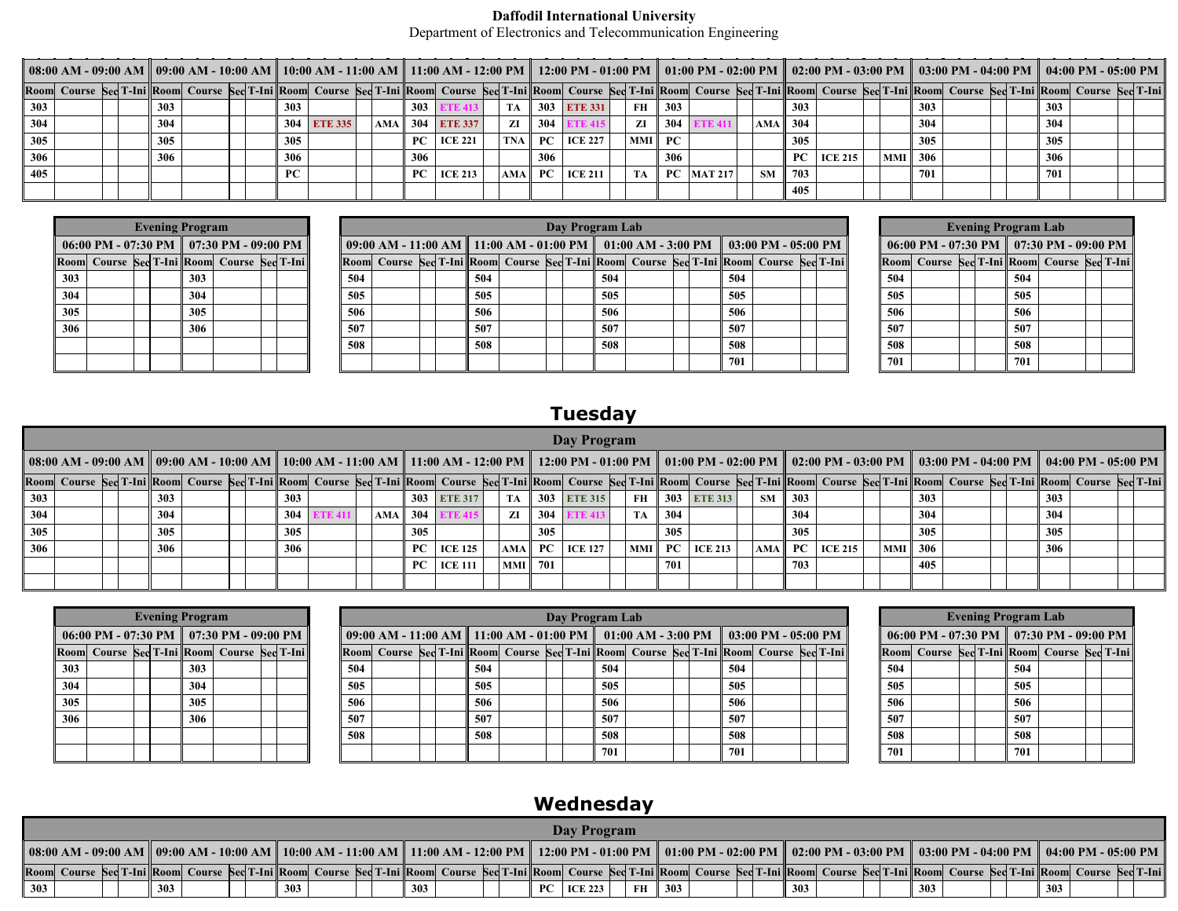#### **Daffodil International University**

Department of Electronics and Telecommunication Engineering

|     |  |     |  |     |             | 08:00 AM - 09:00 AM   09:00 AM - 10:00 AM   10:00 AM - 11:00 AM - 11:00 AM - 12:00 PM   12:00 PM - 01:00 PM   01:00 PM - 02:00 PM   02:00 PM - 03:00 PM   03:00 PM - 04:00 PM   04:00 PM - 04:00 PM - 05:00 PM<br>Room Course Sed T-Ini Room Course Sed T-Ini Room Course Sed T-Ini Room Course Sed T-Ini Room Course Sed T-Ini Room Course Sed T-Ini Room Course Sed T-Ini Room Course Sed T-Ini Room Course Sed T-Ini Room Course Sed T-Ini Ro |  |            |                     |  |    |     |                               |      |        |              |                     |     |                |            |     |  |     |  |
|-----|--|-----|--|-----|-------------|--------------------------------------------------------------------------------------------------------------------------------------------------------------------------------------------------------------------------------------------------------------------------------------------------------------------------------------------------------------------------------------------------------------------------------------------------|--|------------|---------------------|--|----|-----|-------------------------------|------|--------|--------------|---------------------|-----|----------------|------------|-----|--|-----|--|
|     |  |     |  |     |             |                                                                                                                                                                                                                                                                                                                                                                                                                                                  |  |            |                     |  |    |     |                               |      |        |              |                     |     |                |            |     |  |     |  |
| 303 |  | 303 |  | 303 |             |                                                                                                                                                                                                                                                                                                                                                                                                                                                  |  | <b>303</b> |                     |  |    |     | 303 ETE 331                   |      | FH 303 |              |                     | 303 |                |            | 303 |  | 303 |  |
| 304 |  | 304 |  |     | 304 ETE 335 |                                                                                                                                                                                                                                                                                                                                                                                                                                                  |  |            | $ AMA $ 304 ETE 337 |  | ZI | 304 |                               | ZI   | 304    |              | AMA $\parallel$ 304 |     |                |            | 304 |  | 304 |  |
| 305 |  | 305 |  | 305 |             |                                                                                                                                                                                                                                                                                                                                                                                                                                                  |  |            | $PC$   ICE 221      |  |    |     | $\ $ TNA $\ $ PC $\ $ ICE 227 |      |        |              |                     | 305 |                |            | 305 |  | 305 |  |
| 306 |  | 306 |  | 306 |             |                                                                                                                                                                                                                                                                                                                                                                                                                                                  |  | 306        |                     |  |    | 306 |                               |      | 306    |              |                     | PC. | <b>ICE 215</b> | MMI    306 |     |  | 306 |  |
| 405 |  |     |  | PC. |             |                                                                                                                                                                                                                                                                                                                                                                                                                                                  |  |            | $PC$   ICE 213      |  |    |     | $ AMA $ PC $ ICE 211 $        | TA 1 |        | $PC$ MAT 217 | SM                  | 703 |                |            | 701 |  | 701 |  |
|     |  |     |  |     |             |                                                                                                                                                                                                                                                                                                                                                                                                                                                  |  |            |                     |  |    |     |                               |      |        |              |                     | 405 |                |            |     |  |     |  |

|     | <b>Evening Program</b>                                          |  |  |     |                                             |  |  |  |     |  |     |  | Day Program Lab |     |                                                                |  |     |                                                                                         |     | <b>Evening Program Lab</b>                          |     |  |  |
|-----|-----------------------------------------------------------------|--|--|-----|---------------------------------------------|--|--|--|-----|--|-----|--|-----------------|-----|----------------------------------------------------------------|--|-----|-----------------------------------------------------------------------------------------|-----|-----------------------------------------------------|-----|--|--|
|     | 06:00 PM - 07:30 PM $\parallel$ 07:30 PM - 09:00 PM $\parallel$ |  |  |     |                                             |  |  |  |     |  |     |  |                 |     | 09:00 AM - 11:00 AM   11:00 AM - 01:00 PM   01:00 AM - 3:00 PM |  |     | $\parallel$ 03:00 PM - 05:00 PM $\parallel$                                             |     | 06:00 PM - 07:30 PM $\parallel$ 07:30 PM - 09:00 PM |     |  |  |
|     |                                                                 |  |  |     | Room Course Sec T-Ini Room Course Sec T-Ini |  |  |  |     |  |     |  |                 |     |                                                                |  |     | Room Course Sed T-Ini Room Course Sed T-Ini Room Course Sed T-Ini Room Course Sed T-Ini |     | Room Course Sec T-Ini Room Course Sec T-Ini         |     |  |  |
| 303 |                                                                 |  |  | 303 |                                             |  |  |  | 504 |  | 504 |  |                 | 504 |                                                                |  | 504 |                                                                                         | 504 |                                                     | 504 |  |  |
| 304 |                                                                 |  |  | 304 |                                             |  |  |  | 505 |  | 505 |  |                 | 505 |                                                                |  | 505 |                                                                                         | 505 |                                                     | 505 |  |  |
| 305 |                                                                 |  |  | 305 |                                             |  |  |  | 506 |  | 506 |  |                 | 506 |                                                                |  | 506 |                                                                                         | 506 |                                                     | 506 |  |  |
| 306 |                                                                 |  |  | 306 |                                             |  |  |  | 507 |  | 507 |  |                 | 507 |                                                                |  | 507 |                                                                                         | 507 |                                                     | 507 |  |  |
|     |                                                                 |  |  |     |                                             |  |  |  | 508 |  | 508 |  |                 | 508 |                                                                |  | 508 |                                                                                         | 508 |                                                     | 508 |  |  |
|     |                                                                 |  |  |     |                                             |  |  |  |     |  |     |  |                 |     |                                                                |  | 701 |                                                                                         | 701 |                                                     | 701 |  |  |

# **Tuesday**

|     |  |     |  |     |  |            |                            |            |     | Day Program           |           |     |                                  |           |                 |                                                                 |     |     |  |     |                                                                                                                                                                                                                                |  |
|-----|--|-----|--|-----|--|------------|----------------------------|------------|-----|-----------------------|-----------|-----|----------------------------------|-----------|-----------------|-----------------------------------------------------------------|-----|-----|--|-----|--------------------------------------------------------------------------------------------------------------------------------------------------------------------------------------------------------------------------------|--|
|     |  |     |  |     |  |            |                            |            |     |                       |           |     |                                  |           |                 |                                                                 |     |     |  |     | 08:00 AM - 09:00 AM   09:00 AM - 10:00 AM   10:00 AM - 11:00 AM - 11:00 AM - 12:00 PM   12:00 PM - 01:00 PM   01:00 PM - 02:00 PM   02:00 PM - 03:00 PM   03:00 PM - 04:00 PM   04:00 PM - 04:00 PM   04:00 PM - 05:00 PM      |  |
|     |  |     |  |     |  |            |                            |            |     |                       |           |     |                                  |           |                 |                                                                 |     |     |  |     | Room Course Sed T-Ini Room Course Sed T-Ini Room Course Sed T-Ini Room Course Sed T-Ini Room Course Sed T-Ini Room Course Sed T-Ini Room Course Sed T-Ini Room Course Sed T-Ini Room Course Sed T-Ini Room Course Sed T-Ini Ro |  |
| 303 |  | 303 |  | 303 |  |            | 303 ETE 317                | TA         |     | 303 ETE 315           | FH        |     | $ 303 $ ETE 313                  | <b>SM</b> | $\parallel$ 303 |                                                                 |     | 303 |  | 303 |                                                                                                                                                                                                                                |  |
| 304 |  | 304 |  | 304 |  | AMA    304 |                            | ZI         | 304 |                       | <b>TA</b> | 304 |                                  |           | 304             |                                                                 |     | 304 |  | 304 |                                                                                                                                                                                                                                |  |
| 305 |  | 305 |  | 305 |  | 305        |                            |            | 305 |                       |           | 305 |                                  |           | 305             |                                                                 |     | 305 |  | 305 |                                                                                                                                                                                                                                |  |
| 306 |  | 306 |  | 306 |  |            | PC $\vert$ ICE 125 $\vert$ |            |     | $ AMA $ PC $ ICE 127$ |           |     | $\text{MMI}$ PC $\text{ICE }213$ |           |                 | $\mathbf{AMA} \parallel \mathbf{PC} \parallel \mathbf{ICE}$ 215 | MMI | 306 |  | 306 |                                                                                                                                                                                                                                |  |
|     |  |     |  |     |  |            | $PC$   ICE 111             | MMI    701 |     |                       |           | 701 |                                  |           | 703             |                                                                 |     | 405 |  |     |                                                                                                                                                                                                                                |  |
|     |  |     |  |     |  |            |                            |            |     |                       |           |     |                                  |           |                 |                                                                 |     |     |  |     |                                                                                                                                                                                                                                |  |

|     | <b>Evening Program</b>                              |  |  |     |  |  |  |     |  |     |  | Day Program Lab |     |                                                                |  |     |                                                                                         |     |  | <b>Evening Program Lab</b> |                                                     |  |
|-----|-----------------------------------------------------|--|--|-----|--|--|--|-----|--|-----|--|-----------------|-----|----------------------------------------------------------------|--|-----|-----------------------------------------------------------------------------------------|-----|--|----------------------------|-----------------------------------------------------|--|
|     | 06:00 PM - 07:30 PM $\parallel$ 07:30 PM - 09:00 PM |  |  |     |  |  |  |     |  |     |  |                 |     | 09:00 AM - 11:00 AM   11:00 AM - 01:00 PM   01:00 AM - 3:00 PM |  |     | $\parallel$ 03:00 PM - 05:00 PM $\parallel$                                             |     |  |                            | 06:00 PM - 07:30 PM $\parallel$ 07:30 PM - 09:00 PM |  |
|     | Room Course Sec T-Ini Room Course Sec T-Ini         |  |  |     |  |  |  |     |  |     |  |                 |     |                                                                |  |     | Room Course Sed T-Ini Room Course Sed T-Ini Room Course Sed T-Ini Room Course Sed T-Ini |     |  |                            | Room Course Sec T-Ini Room Course Sec T-Ini         |  |
| 303 |                                                     |  |  | 303 |  |  |  | 504 |  | 504 |  |                 | 504 |                                                                |  | 504 |                                                                                         | 504 |  | 504                        |                                                     |  |
| 304 |                                                     |  |  | 304 |  |  |  | 505 |  | 505 |  |                 | 505 |                                                                |  | 505 |                                                                                         | 505 |  | 505                        |                                                     |  |
| 305 |                                                     |  |  | 305 |  |  |  | 506 |  | 506 |  |                 | 506 |                                                                |  | 506 |                                                                                         | 506 |  | 506                        |                                                     |  |
| 306 |                                                     |  |  | 306 |  |  |  | 507 |  | 507 |  |                 | 507 |                                                                |  | 507 |                                                                                         | 507 |  | 507                        |                                                     |  |
|     |                                                     |  |  |     |  |  |  | 508 |  | 508 |  |                 | 508 |                                                                |  | 508 |                                                                                         | 508 |  | 508                        |                                                     |  |
|     |                                                     |  |  |     |  |  |  |     |  |     |  |                 | 701 |                                                                |  | 701 |                                                                                         | 701 |  | 701                        |                                                     |  |

## **Wednesday**

|     |  |     |  |     |                                                                                                                                                                                                                                |     |  |     | Day Program    |    |     |  |     |  |     |  |     |  |
|-----|--|-----|--|-----|--------------------------------------------------------------------------------------------------------------------------------------------------------------------------------------------------------------------------------|-----|--|-----|----------------|----|-----|--|-----|--|-----|--|-----|--|
|     |  |     |  |     | 08:00 AM - 09:00 AM    09:00 AM - 10:00 AM    10:00 AM - 11:00 AM    11:00 AM - 12:00 PM    12:00 PM - 01:00 PM    01:00 PM - 02:00 PM    03:00 PM - 03:00 PM - 04:00 PM    04:00 PM - 05:00 PM - 04:00 PM - 05:00 PM - 05:0   |     |  |     |                |    |     |  |     |  |     |  |     |  |
|     |  |     |  |     | Room  Course Sed T-Ini Room  Course Sed T-Ini Room  Course Sed T-Ini Room  Course Sed T-Ini Room  Course Sed T-Ini Room  Course Sed T-Ini Room  Course Sed T-Ini Room  Course Sed T-Ini Room  Course Sed T-Ini Room  Course Se |     |  |     |                |    |     |  |     |  |     |  |     |  |
| 303 |  | 303 |  | 303 |                                                                                                                                                                                                                                | 303 |  | PC. | <b>ICE 223</b> | FH | 303 |  | 303 |  | 303 |  | 303 |  |